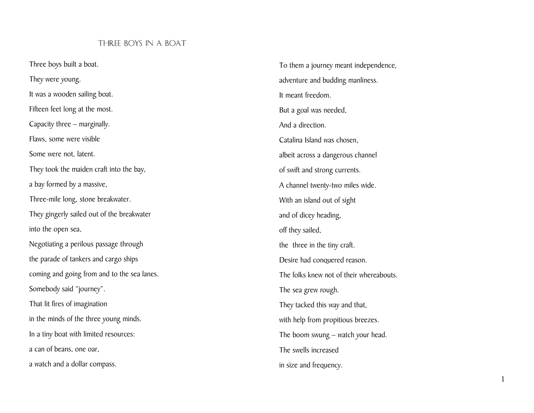## THREE BOYS IN A BOAT

Three boys built a boat. They were young. It was a wooden sailing boat. Fifteen feet long at the most. Capacity three – marginally. Flaws, some were visible Some were not, latent. They took the maiden craft into the bay, a bay formed by a massive, Three-mile long, stone breakwater. They gingerly sailed out of the breakwater into the open sea, Negotiating a perilous passage through the parade of tankers and cargo ships coming and going from and to the sea lanes. Somebody said "journey". That lit fires of imagination in the minds of the three young minds. In a tiny boat with limited resources: a can of beans, one oar, a watch and a dollar compass.

To them a journey meant independence, adventure and budding manliness. It meant freedom. But a goal was needed, And a direction. Catalina Island was chosen, albeit across a dangerous channel of swift and strong currents. A channel twenty-two miles wide. With an island out of sight and of dicey heading, off they sailed, the three in the tiny craft. Desire had conquered reason. The folks knew not of their whereabouts. The sea grew rough. They tacked this way and that, with help from propitious breezes. The boom swung – watch your head. The swells increased in size and frequency.